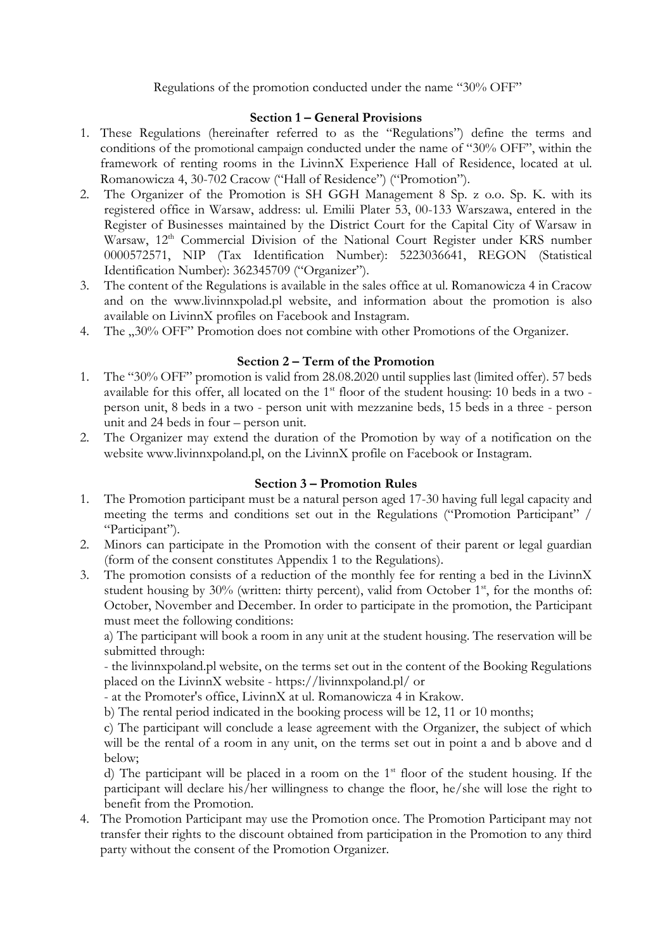Regulations of the promotion conducted under the name "30% OFF"

# **Section 1 – General Provisions**

- 1. These Regulations (hereinafter referred to as the "Regulations") define the terms and conditions of the promotional campaign conducted under the name of "30% OFF", within the framework of renting rooms in the LivinnX Experience Hall of Residence, located at ul. Romanowicza 4, 30-702 Cracow ("Hall of Residence") ("Promotion").
- 2. The Organizer of the Promotion is SH GGH Management 8 Sp. z o.o. Sp. K. with its registered office in Warsaw, address: ul. Emilii Plater 53, 00-133 Warszawa, entered in the Register of Businesses maintained by the District Court for the Capital City of Warsaw in Warsaw, 12<sup>th</sup> Commercial Division of the National Court Register under KRS number 0000572571, NIP (Tax Identification Number): 5223036641, REGON (Statistical Identification Number): 362345709 ("Organizer").
- 3. The content of the Regulations is available in the sales office at ul. Romanowicza 4 in Cracow and on the www.livinnxpolad.pl website, and information about the promotion is also available on LivinnX profiles on Facebook and Instagram.
- 4. The ...30% OFF" Promotion does not combine with other Promotions of the Organizer.

# **Section 2 – Term of the Promotion**

- 1. The "30% OFF" promotion is valid from 28.08.2020 until supplies last (limited offer). 57 beds available for this offer, all located on the 1<sup>st</sup> floor of the student housing: 10 beds in a two person unit, 8 beds in a two - person unit with mezzanine beds, 15 beds in a three - person unit and 24 beds in four – person unit.
- 2. The Organizer may extend the duration of the Promotion by way of a notification on the website www.livinnxpoland.pl, on the LivinnX profile on Facebook or Instagram.

### **Section 3 – Promotion Rules**

- 1. The Promotion participant must be a natural person aged 17-30 having full legal capacity and meeting the terms and conditions set out in the Regulations ("Promotion Participant" / "Participant").
- 2. Minors can participate in the Promotion with the consent of their parent or legal guardian (form of the consent constitutes Appendix 1 to the Regulations).
- 3. The promotion consists of a reduction of the monthly fee for renting a bed in the LivinnX student housing by 30% (written: thirty percent), valid from October  $1<sup>st</sup>$ , for the months of: October, November and December. In order to participate in the promotion, the Participant must meet the following conditions:

a) The participant will book a room in any unit at the student housing. The reservation will be submitted through:

- the livinnxpoland.pl website, on the terms set out in the content of the Booking Regulations placed on the LivinnX website - https://livinnxpoland.pl/ or

- at the Promoter's office, LivinnX at ul. Romanowicza 4 in Krakow.

b) The rental period indicated in the booking process will be 12, 11 or 10 months;

c) The participant will conclude a lease agreement with the Organizer, the subject of which will be the rental of a room in any unit, on the terms set out in point a and b above and d below;

d) The participant will be placed in a room on the  $1<sup>st</sup>$  floor of the student housing. If the participant will declare his/her willingness to change the floor, he/she will lose the right to benefit from the Promotion.

4. The Promotion Participant may use the Promotion once. The Promotion Participant may not transfer their rights to the discount obtained from participation in the Promotion to any third party without the consent of the Promotion Organizer.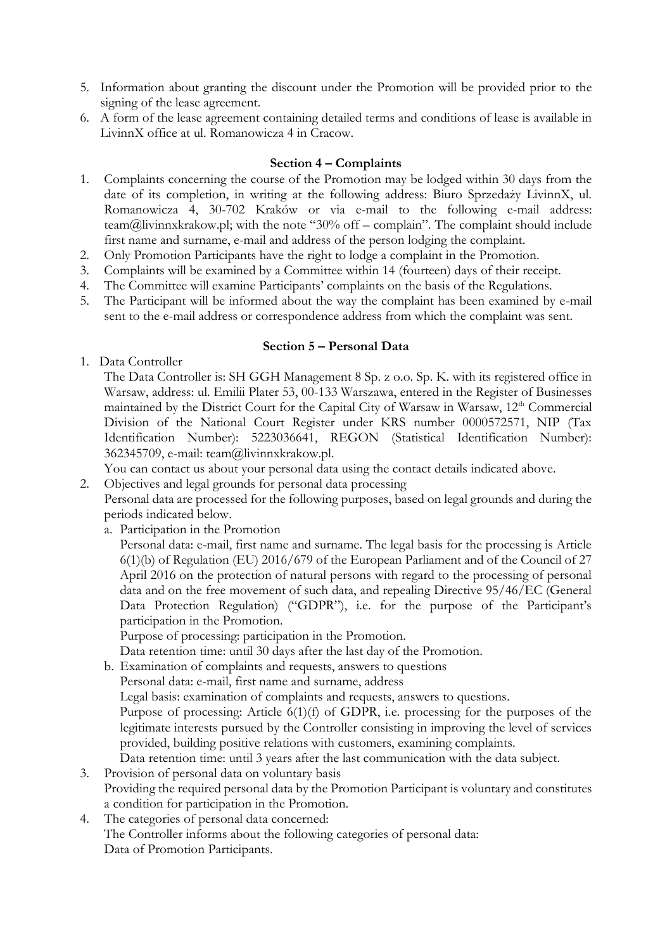- 5. Information about granting the discount under the Promotion will be provided prior to the signing of the lease agreement.
- 6. A form of the lease agreement containing detailed terms and conditions of lease is available in LivinnX office at ul. Romanowicza 4 in Cracow.

## **Section 4 – Complaints**

- 1. Complaints concerning the course of the Promotion may be lodged within 30 days from the date of its completion, in writing at the following address: Biuro Sprzedaży LivinnX, ul. Romanowicza 4, 30-702 Kraków or via e-mail to the following e-mail address: team@livinnxkrakow.pl; with the note "30% off – complain". The complaint should include first name and surname, e-mail and address of the person lodging the complaint.
- 2. Only Promotion Participants have the right to lodge a complaint in the Promotion.
- 3. Complaints will be examined by a Committee within 14 (fourteen) days of their receipt.
- 4. The Committee will examine Participants' complaints on the basis of the Regulations.
- 5. The Participant will be informed about the way the complaint has been examined by e-mail sent to the e-mail address or correspondence address from which the complaint was sent.

### **Section 5 – Personal Data**

1. Data Controller

The Data Controller is: SH GGH Management 8 Sp. z o.o. Sp. K. with its registered office in Warsaw, address: ul. Emilii Plater 53, 00-133 Warszawa, entered in the Register of Businesses maintained by the District Court for the Capital City of Warsaw in Warsaw, 12<sup>th</sup> Commercial Division of the National Court Register under KRS number 0000572571, NIP (Tax Identification Number): 5223036641, REGON (Statistical Identification Number): 362345709, e-mail: team@livinnxkrakow.pl.

You can contact us about your personal data using the contact details indicated above.

2. Objectives and legal grounds for personal data processing

Personal data are processed for the following purposes, based on legal grounds and during the periods indicated below.

a. Participation in the Promotion

Personal data: e-mail, first name and surname. The legal basis for the processing is Article 6(1)(b) of Regulation (EU) 2016/679 of the European Parliament and of the Council of 27 April 2016 on the protection of natural persons with regard to the processing of personal data and on the free movement of such data, and repealing Directive 95/46/EC (General Data Protection Regulation) ("GDPR"), i.e. for the purpose of the Participant's participation in the Promotion.

Purpose of processing: participation in the Promotion.

Data retention time: until 30 days after the last day of the Promotion.

b. Examination of complaints and requests, answers to questions

Personal data: e-mail, first name and surname, address

Legal basis: examination of complaints and requests, answers to questions.

Purpose of processing: Article 6(1)(f) of GDPR, i.e. processing for the purposes of the legitimate interests pursued by the Controller consisting in improving the level of services provided, building positive relations with customers, examining complaints.

Data retention time: until 3 years after the last communication with the data subject.

- 3. Provision of personal data on voluntary basis Providing the required personal data by the Promotion Participant is voluntary and constitutes a condition for participation in the Promotion.
- 4. The categories of personal data concerned: The Controller informs about the following categories of personal data: Data of Promotion Participants.